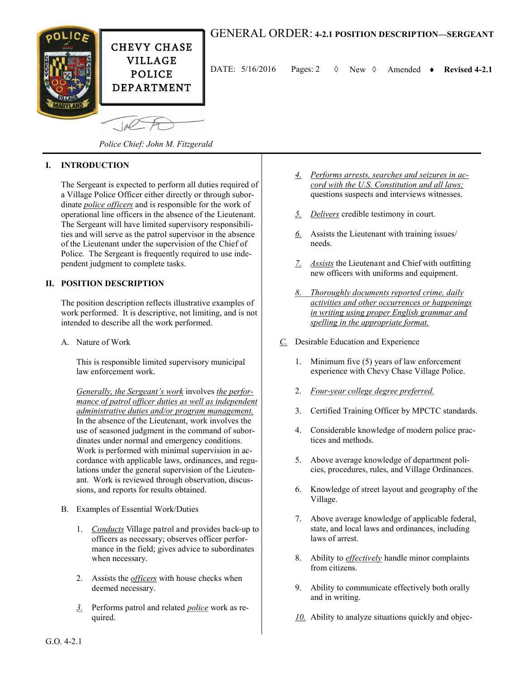

## GENERAL ORDER: **4-2.1 POSITION DESCRIPTION—SERGEANT**

DATE: 5/16/2016 Pages: 2 New Amended **Revised 4-2.1**

*Police Chief: John M. Fitzgerald*

## **I. INTRODUCTION**

The Sergeant is expected to perform all duties required of a Village Police Officer either directly or through subordinate *police officers* and is responsible for the work of operational line officers in the absence of the Lieutenant. The Sergeant will have limited supervisory responsibilities and will serve as the patrol supervisor in the absence of the Lieutenant under the supervision of the Chief of Police. The Sergeant is frequently required to use independent judgment to complete tasks.

## **II. POSITION DESCRIPTION**

The position description reflects illustrative examples of work performed. It is descriptive, not limiting, and is not intended to describe all the work performed.

A. Nature of Work

This is responsible limited supervisory municipal law enforcement work.

*Generally, the Sergeant's work* involves *the performance of patrol officer duties as well as independent administrative duties and/or program management.* In the absence of the Lieutenant, work involves the use of seasoned judgment in the command of subordinates under normal and emergency conditions. Work is performed with minimal supervision in accordance with applicable laws, ordinances, and regulations under the general supervision of the Lieutenant. Work is reviewed through observation, discussions, and reports for results obtained.

- B. Examples of Essential Work/Duties
	- 1. *Conducts* Village patrol and provides back-up to officers as necessary; observes officer performance in the field; gives advice to subordinates when necessary.
	- 2. Assists the *officers* with house checks when deemed necessary.
	- *3.* Performs patrol and related *police* work as required.
- *4. Performs arrests, searches and seizures in accord with the U.S. Constitution and all laws;* questions suspects and interviews witnesses.
- *5. Delivers* credible testimony in court.
- *6.* Assists the Lieutenant with training issues/ needs.
- *7. Assists* the Lieutenant and Chief with outfitting new officers with uniforms and equipment.
- *8. Thoroughly documents reported crime, daily activities and other occurrences or happenings in writing using proper English grammar and spelling in the appropriate format.*
- *C.* Desirable Education and Experience
	- 1. Minimum five (5) years of law enforcement experience with Chevy Chase Village Police.
	- 2. *Four-year college degree preferred.*
	- 3. Certified Training Officer by MPCTC standards.
	- 4. Considerable knowledge of modern police practices and methods.
	- 5. Above average knowledge of department policies, procedures, rules, and Village Ordinances.
	- 6. Knowledge of street layout and geography of the Village.
	- 7. Above average knowledge of applicable federal, state, and local laws and ordinances, including laws of arrest.
	- 8. Ability to *effectively* handle minor complaints from citizens.
	- 9. Ability to communicate effectively both orally and in writing.
	- *10.* Ability to analyze situations quickly and objec-